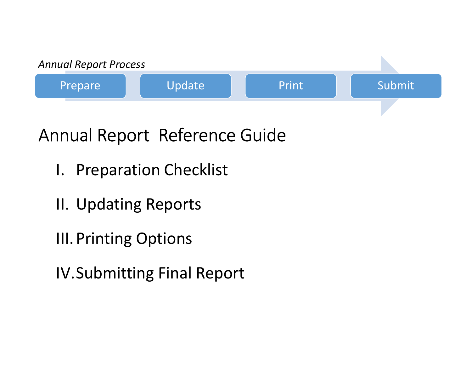

# Annual Report Reference Guide Inual Report Reference Guid<br>
I. Preparation Checklist<br>
II. Updating Reports<br>
III. Printing Options<br>
IV.Submitting Final Report

- 
- 
- 
- IV.Submitting Final Report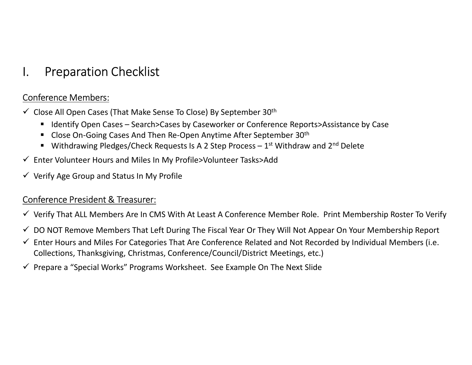#### Conference Members:

- I. Preparation Checklist<br>Conference Members:<br>✓ Close All Open Cases (That Make Sense To Close) By Septe
- 1. Preparation Checklist<br>
Conference Members:<br>
Close All Open Cases (That Make Sense To Close) By September 30<sup>th</sup><br>
 Identify Open Cases Search>Cases by Caseworker or Conference Reports>Assistance by Case<br>
 Close On-Go Preparation Checklist<br>
Erence Members:<br>
Sose All Open Cases (That Make Sense To Close) By September 30<sup>th</sup><br>
• Lelentify Open Cases – Search>Cases by Caseworker or Conference Reports>Assistance by Case<br>
• Close On-Going Cas Preparation Checklist<br>
Frence Members:<br>
ose All Open Cases (That Make Sense To Close) By September 30<sup>th</sup><br>
• Identify Open Cases – Search>Cases by Caseworker or Conference Reports>Assistance by Case<br>
• Close On-Going Cases
	- Close On-Going Cases And Then Re-Open Anytime After September 30<sup>th</sup>
	-
- Enter Volunteer Hours and Miles In My Profile>Volunteer Tasks>Add
- $\checkmark$  Verify Age Group and Status In My Profile

#### Conference President & Treasurer:

- $\checkmark$  Verify That ALL Members Are In CMS With At Least A Conference Member Role. Print Membership Roster To Verify
- $\checkmark$  DO NOT Remove Members That Left During The Fiscal Year Or They Will Not Appear On Your Membership Report
- $\checkmark$  Enter Hours and Miles For Categories That Are Conference Related and Not Recorded by Individual Members (i.e. Collections, Thanksgiving, Christmas, Conference/Council/District Meetings, etc.)
- $\checkmark$  Prepare a "Special Works" Programs Worksheet. See Example On The Next Slide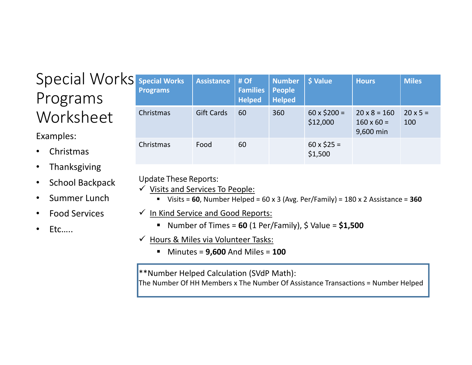### Special Works Programs Worksheet

#### Examples:

- Christmas
- **Thanksgiving**
- School Backpack
- Summer Lunch
- Food Services
- Etc…..

|                                                                                                                                     | <b>Special Works</b><br><b>Programs</b>                                                                                                             | <b>Assistance</b> | # Of<br><b>Families</b><br><b>Helped</b> | <b>Number</b><br><b>People</b><br><b>Helped</b> | \$ Value                       | <b>Hours</b>                                                                     | <b>Miles</b>           |  |
|-------------------------------------------------------------------------------------------------------------------------------------|-----------------------------------------------------------------------------------------------------------------------------------------------------|-------------------|------------------------------------------|-------------------------------------------------|--------------------------------|----------------------------------------------------------------------------------|------------------------|--|
|                                                                                                                                     | Christmas                                                                                                                                           | <b>Gift Cards</b> | 60                                       | 360                                             | $60 \times $200 =$<br>\$12,000 | $20 \times 8 = 160$<br>$160 \times 60 =$<br>9,600 min                            | $20 \times 5 =$<br>100 |  |
|                                                                                                                                     | Christmas                                                                                                                                           | Food              | 60                                       |                                                 | $60 \times $25 =$<br>\$1,500   |                                                                                  |                        |  |
|                                                                                                                                     | <b>Update These Reports:</b><br><b>Visits and Services To People:</b><br>√ In Kind Service and Good Reports:                                        |                   |                                          |                                                 |                                | Visits = 60, Number Helped = 60 x 3 (Avg. Per/Family) = 180 x 2 Assistance = 360 |                        |  |
|                                                                                                                                     | Number of Times = $60$ (1 Per/Family), \$ Value = $$1,500$<br>п<br>← Hours & Miles via Volunteer Tasks:<br>Minutes = $9,600$ And Miles = $100$<br>٠ |                   |                                          |                                                 |                                |                                                                                  |                        |  |
| <b>**Number Helped Calculation (SVdP Math):</b><br>The Number Of HH Members x The Number Of Assistance Transactions = Number Helped |                                                                                                                                                     |                   |                                          |                                                 |                                |                                                                                  |                        |  |
|                                                                                                                                     |                                                                                                                                                     |                   |                                          |                                                 |                                |                                                                                  |                        |  |

#### Update These Reports:

- $\checkmark$  Visits and Services To People:
	- Visits = 60, Number Helped =  $60 \times 3$  (Avg. Per/Family) =  $180 \times 2$  Assistance = 360
- $\checkmark$  In Kind Service and Good Reports:
	- Number of Times =  $60$  (1 Per/Family), \$ Value =  $$1,500$
- $\checkmark$  Hours & Miles via Volunteer Tasks:
	- $\blacksquare$  Minutes = 9,600 And Miles = 100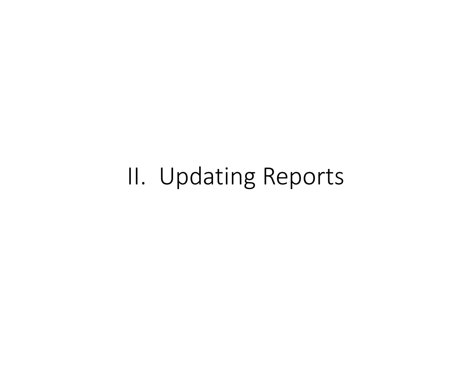## II. Updating Reports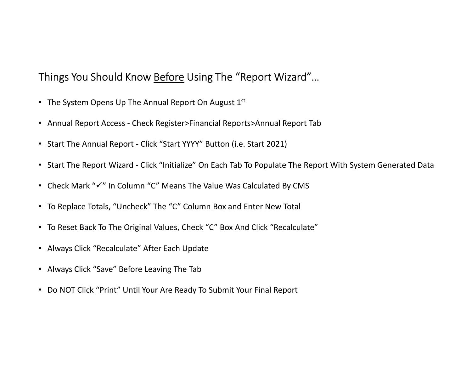# Things You Should Know <u>Before</u> Using The "Report Wizard"…<br>• The System Opens Up The Annual Report On August 1st<br>• Annual Benest Access, Check Begister Sinancial Benests Annual Benest Tab Things You Should Know <u>Before</u> Using The "Report Wizard"...<br>• The System Opens Up The Annual Report On August 1<sup>st</sup><br>• Annual Report Access - Check Register>Financial Reports>Annual Report Tab<br>• Start The Annual Report - C

- The System Opens Up The Annual Report On August 1st
- 
- 
- Framest You Should Know <u>Before</u> Using The "Report Wizard"...<br>• The System Opens Up The Annual Report On August 1<sup>st</sup><br>• Annual Report Access Check Register>Financial Reports>Annual Report Tab<br>• Start The Annual Report -
- Check Mark " $\checkmark$ " In Column "C" Means The Value Was Calculated By CMS
- To Replace Totals, "Uncheck" The "C" Column Box and Enter New Total
- To Reset Back To The Original Values, Check "C" Box And Click "Recalculate"
- Always Click "Recalculate" After Each Update
- Always Click "Save" Before Leaving The Tab
- Do NOT Click "Print" Until Your Are Ready To Submit Your Final Report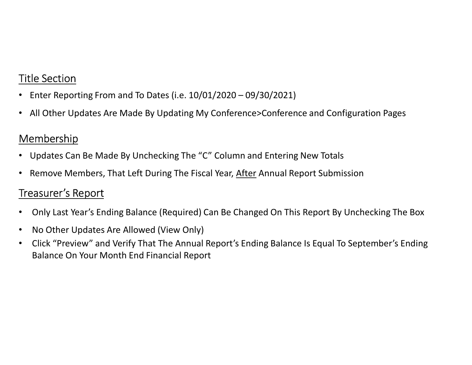#### Title Section

- 
- Enter Reporting From and To Dates (i.e. 10/01/2020 09/30/2021) All Other Updates Are Made By Updating My Conference>Conference and Configuration Pages

#### Membership

- Updates Can Be Made By Unchecking The "C" Column and Entering New Totals
- 

#### Treasurer's Report

- Enter Reporting From and To Dates (i.e. 10/01/2020 09/30/2021)<br>• All Other Updates Are Made By Updating My Conference>Conference and Configuration Pages<br>• Membership<br>• Updates Can Be Made By Unchecking The "C" Column a • Only Last Year's Ending Balance (Required) Can Be Changed On This Report By Unchecking The Box
- No Other Updates Are Allowed (View Only)
- Click "Preview" and Verify That The Annual Report's Ending Balance Is Equal To September's Ending Balance On Your Month End Financial Report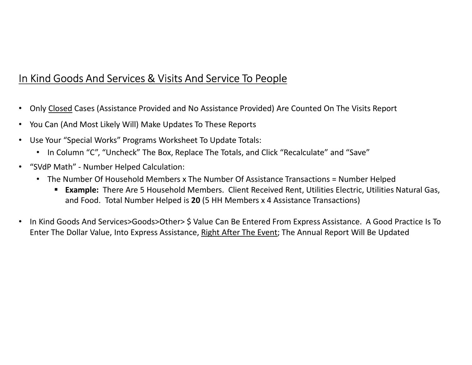#### In Kind Goods And Services & Visits And Service To People

- **in Kind Goods And Services & Visits And Service To People**<br>• Only <u>Closed</u> Cases (Assistance Provided and No Assistance Provided) Are Counted On The Visits Report<br>• You Can (And Most Likely Will) Make Updates To These Rep
- 
- Use Your "Special Works" Programs Worksheet To Update Totals:
	- In Column "C", "Uncheck" The Box, Replace The Totals, and Click "Recalculate" and "Save"
- -
- "SudP Math" Mumber Helped Calculation: "Special Works" Provided and No Assistance Provided) Are Counted On The Visits Report<br>• You Can (And Most Likely Will) Make Updates To These Reports<br>• Use Your "Special Works" P **Example:** There Are 5 Household Members. Client Received Rent, Utilities Electric, Utilities Natural Gas, and Food. Total Number Helped is 20 (5 HH Members x 4 Assistance Transactions)
- In Kind Goods And Services>Goods>Other> \$ Value Can Be Entered From Express Assistance. A Good Practice Is To Enter The Dollar Value, Into Express Assistance, Right After The Event; The Annual Report Will Be Updated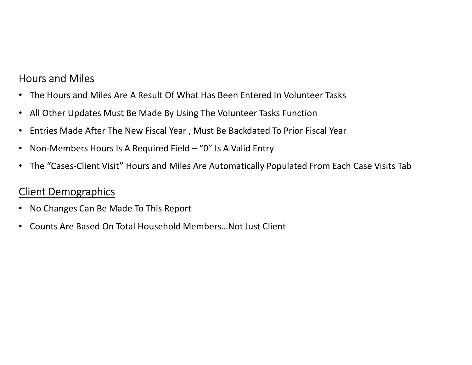#### Hours and Miles

- The Hours and Miles Are A Result Of What Has Been Entered In Volunteer Tasks
- All Other Updates Must Be Made By Using The Volunteer Tasks Function
- Entries Made After The New Fiscal Year , Must Be Backdated To Prior Fiscal Year
- 
- Frances and Miles (Frances A Result Of What Has Been Entered In Volunteer Tasks<br>• All Other Updates Must Be Made By Using The Volunteer Tasks Function<br>• Entries Made After The New Fiscal Year , Must Be Backdated To Prior F • The "Cases-Client Visit" Hours and Miles Are Automatically Populated From Each Case Visits Tab

#### Client Demographics

- No Changes Can Be Made To This Report
- Counts Are Based On Total Household Members…Not Just Client